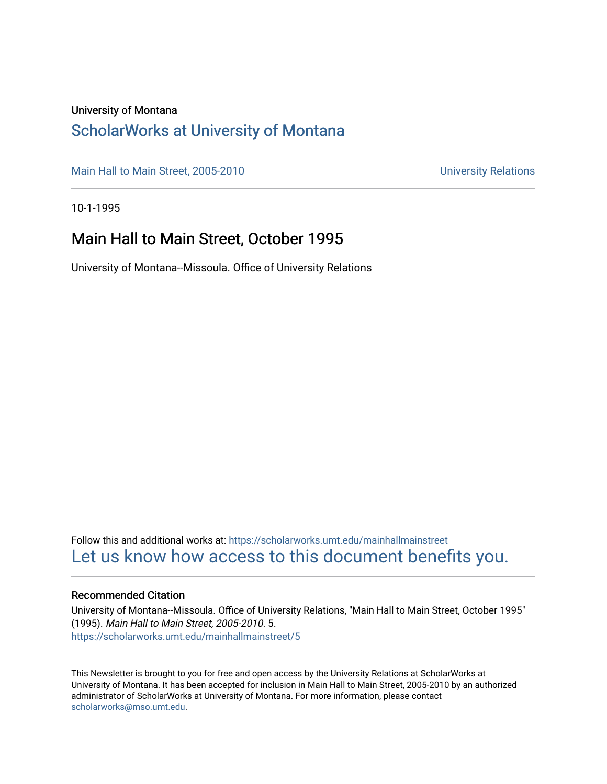#### University of Montana

### [ScholarWorks at University of Montana](https://scholarworks.umt.edu/)

[Main Hall to Main Street, 2005-2010](https://scholarworks.umt.edu/mainhallmainstreet) Main Hall to Main Street, 2005-2010

10-1-1995

### Main Hall to Main Street, October 1995

University of Montana--Missoula. Office of University Relations

Follow this and additional works at: [https://scholarworks.umt.edu/mainhallmainstreet](https://scholarworks.umt.edu/mainhallmainstreet?utm_source=scholarworks.umt.edu%2Fmainhallmainstreet%2F5&utm_medium=PDF&utm_campaign=PDFCoverPages) [Let us know how access to this document benefits you.](https://goo.gl/forms/s2rGfXOLzz71qgsB2) 

#### Recommended Citation

University of Montana--Missoula. Office of University Relations, "Main Hall to Main Street, October 1995" (1995). Main Hall to Main Street, 2005-2010. 5. [https://scholarworks.umt.edu/mainhallmainstreet/5](https://scholarworks.umt.edu/mainhallmainstreet/5?utm_source=scholarworks.umt.edu%2Fmainhallmainstreet%2F5&utm_medium=PDF&utm_campaign=PDFCoverPages) 

This Newsletter is brought to you for free and open access by the University Relations at ScholarWorks at University of Montana. It has been accepted for inclusion in Main Hall to Main Street, 2005-2010 by an authorized administrator of ScholarWorks at University of Montana. For more information, please contact [scholarworks@mso.umt.edu.](mailto:scholarworks@mso.umt.edu)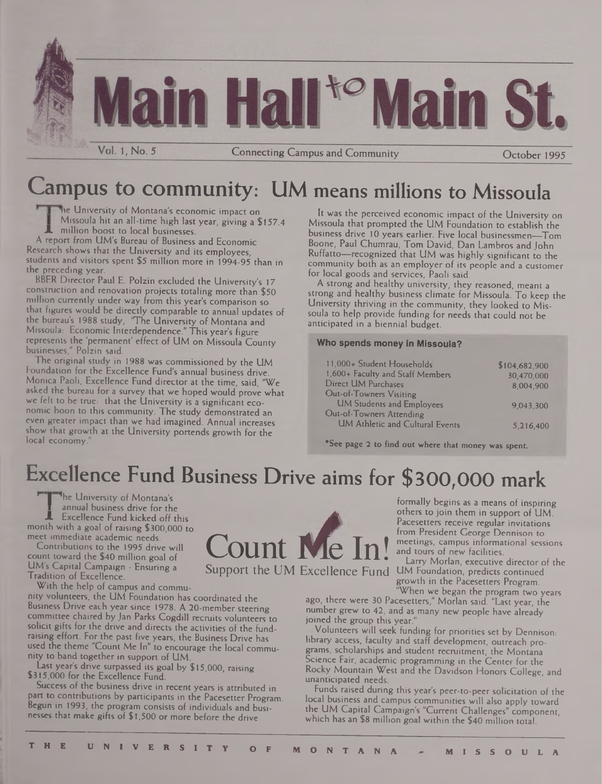

Connecting Campus and Community

October 1995

# Campus to community: UM means millions to Missoula

me University of Montana's economic impact on Missoula hit an all-time high last year, giving a \$157.4 million boost to local businesses.

A report from UM's Bureau of Business and Economic Research shows that the University and its employees, students and visitors spent \$5 million more in 1994-95 than in the preceding year.

BBER Director Paul E. Polzin excluded the University's 17 construction and renovation projects totaling more than \$50 million currently under way from this year's comparison so that figures would be directly comparable to annual updates of the bureau's 1988 study, 'The University of Montana and Missoula: Economic Interdependence." This year's figure represents the 'permanent' effect of UM on Missoula County businesses," Polzin said.

The original study in 1988 was commissioned by the UM Foundation for the Excellence Fund's annual business drive. Monica Paoli, Excellence Fund director at the time, said, "We asked the bureau for a survey that we hoped would prove what we felt to be true: that the University is a significant economic boon to this community. The study demonstrated an even greater impact than we had imagined. Annual increases show that growth at the University portends growth for the local economy.

It was the perceived economic impact of the University on Missoula that prompted the UM Foundation to establish the business drive 10 years earlier. Five local businessmen—Tom Boone, Paul Chumrau, Tom David, Dan Lambros and John Ruffatto—recognized that UM was highly significant to the community both as an employer of its people and a customer for local goods and services, Paoli said.

A strong and healthy university, they reasoned, meant a strong and healthy business climate for Missoula. To keep the University thriving in the community, they looked to Missoula to help provide funding for needs that could not be anticipated in a biennial budget.

#### **Who spends money in Missoula?**

| 11,000+ Student Households       | \$104,682,900 |
|----------------------------------|---------------|
| 1,600+ Faculty and Staff Members | 30,470,000    |
| Direct UM Purchases              | 8.004.900     |
| Out-of-Towners Visiting          |               |
| <b>UM Students and Employees</b> | 9,043,300     |
| Out-of-Towners Attending         |               |
| UM Athletic and Cultural Events  | 5,216,400     |

\*See page 2 to find out where that money was spent.

# Excellence Fund Business Drive aims for \$300,000 mark

The University of Montana's annual business drive for the Excellence Fund kicked off this month with a goal of raising \$300,000 to meet immediate academic needs.

Contributions to the 1995 drive will count toward the \$40 million goal of UM's Capital Campaign - Ensuring a Tradition of Excellence.

With the help of campus and community volunteers, the UM Foundation has coordinated the Business Drive each year since 1978. A 20-member steering committee chaired by Jan Parks Cogdill recruits volunteers to solicit gifts for the drive and directs the activities of the fundraising effort. For the past five years, the Business Drive has used the theme "Count Me In" to encourage the local community to band together in support of UM.

Last year's drive surpassed its goal by \$15,000, raising \$315,000 for the Excellence Fund.

Success of the business drive in recent years is attributed in part to contributions by participants in the Pacesetter Program. Begun in 1993, the program consists of individuals and businesses that make gifts of \$1,500 or more before the drive

formally begins as a means of inspiring Pacesetters receive regular invitations from President George Dennison to

Larry Morlan, executive director of the Support the UM Excellence Fund UM Foundation, predicts continued growth in the Pacesetters Program.

"When we began the program two years ago, there were 30 Pacesetters," Morlan said. "Last year, the number grew to 42, and as many new people have already joined the group this year."

Volunteers will seek funding for priorities set by Dennison: library access, faculty and staff development, outreach programs, scholarships and student recruitment, the Montana Science Fair, academic programming in the Center for the Rocky Mountain West and the Davidson Honors College, and unanticipated needs.

Funds raised during this year's peer-to-peer solicitation of the local business and campus communities will also apply toward the UM Capital Campaign's "Current Challenges" component, which has an \$8 million goal within the \$40 million total.

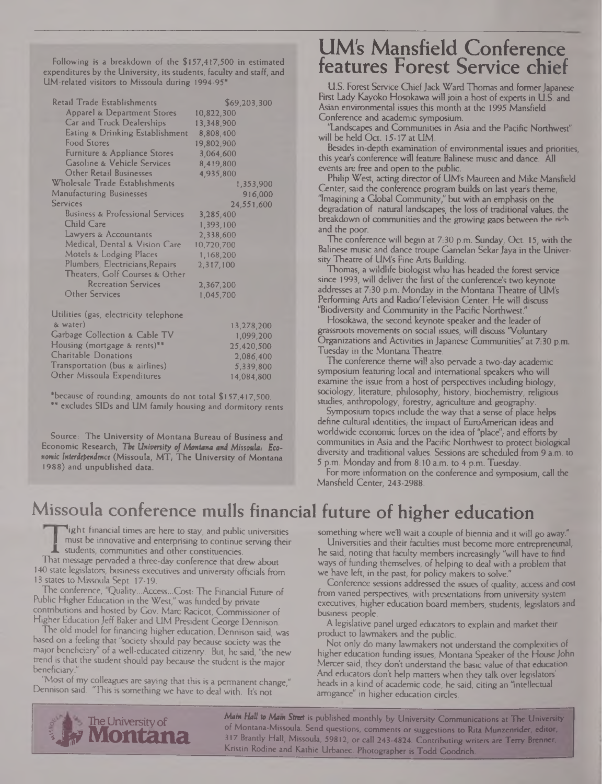Following is a breakdown of the \$157,417,500 in estimated expenditures by the University, its students, faculty and staff, and UM-related visitors to Missoula during 1994-95\*

| <b>Retail Trade Establishments</b>          | \$69,203,300 |
|---------------------------------------------|--------------|
| <b>Apparel &amp; Department Stores</b>      | 10,822,300   |
| <b>Car and Truck Dealerships</b>            | 13,348,900   |
| Eating & Drinking Establishment             | 8,808,400    |
| <b>Food Stores</b>                          |              |
|                                             | 19,802,900   |
| Furniture & Appliance Stores                | 3,064,600    |
| <b>Gasoline &amp; Vehicle Services</b>      | 8,419,800    |
| Other Retail Businesses                     | 4,935,800    |
| Wholesale Trade Establishments              | 1,353,900    |
| <b>Manufacturing Businesses</b>             | 916,000      |
| Services                                    | 24,551,600   |
| <b>Business &amp; Professional Services</b> | 3,285,400    |
| Child Care                                  | 1,393,100    |
| Lawyers & Accountants                       | 2,338,600    |
| Medical, Dental & Vision Care               | 10,720,700   |
| <b>Motels &amp; Lodging Places</b>          | 1,168,200    |
| Plumbers, Electricians, Repairs             | 2,317,100    |
| Theaters, Colf Courses & Other              |              |
| <b>Recreation Services</b>                  | 2,367,200    |
| Other Services                              | 1,045,700    |
|                                             |              |
| Utilities (gas, electricity telephone       |              |
| & water)                                    | 13,278,200   |
| Garbage Collection & Cable TV               | 1,099,200    |
| Housing (mortgage & rents)**                |              |
| <b>Charitable Donations</b>                 | 25,420,500   |
|                                             | 2,086,400    |
| Transportation (bus & airlines)             | 5,339,800    |
| Other Missoula Expenditures                 | 14.084.800   |

'because of rounding, amounts do not total \$157,417,500. \*\* excludes SIDs and UM family housing and dormitory rents

Source: The University of Montana Bureau of Business and Economic Research, *Tbe University of Montana and Missoula: Economic Interdependence* (Missoula, MT) The University of Montana 1988) and unpublished data.

### UM's Mansfield Conference features Forest Service chief

U.S. Forest Service Chief Jack Ward Thomas and former Japanese First Lady Kayoko Hosokawa will join a host of experts in U.S. and Asian environmental issues this month at the 1995 Mansfield Conference and academic symposium.

"Landscapes and Communities in Asia and the Pacific Northwest" will be held Oct. 15-17 at UM.

Besides in-depth examination of environmental issues and priorities, this year's conference will feature Balinese music and dance. All events are free and open to the public.

Philip West, acting director of UM's Maureen and Mike Mansfield Center, said the conference program builds on last year's theme, 'Imagining a Global Community," but with an emphasis on the degradation of natural landscapes, the loss of traditional values, the breakdown of communities and the growing gaps between the neh and the poor.

The conference will begin at 7:30 p.m. Sunday, Oct. 15, with the Balinese music and dance troupe Gamelan Sekar Jaya in the University Theatre of UM's Fine Arts Building.

Thomas, a wildlife biologist who has headed the forest service since 1993, will deliver the first of the conference's two keynote addresses at 7:30 p.m. Monday in the Montana Theatre of UM's Performing Arts and Radio/Television Center. He will discuss "Biodiversity and Community in the Pacific Northwest."

Hosokawa, the second keynote speaker and the leader of grassroots movements on social issues, will discuss "Voluntary Organizations and Activities in Japanese Communities" at 7:30 p.m. Tuesday in the Montana Theatre.

The conference theme will also pervade a two-day academic symposium featuring local and international speakers who will examine the issue from a host of perspectives including biology, sociology, literature, philosophy, history, biochemistry, religious studies, anthropology, forestry, agriculture and geography.

Symposium topics include the way that a sense of place helps define cultural identities, the impact of EuroAmerican ideas and worldwide economic forces on the idea of "place", and efforts by communities in Asia and the Pacific Northwest to protect biological diversity and traditional values. Sessions are scheduled from 9 a.m. to 5 p.m. Monday and from 8:10 a.m. to 4 p.m. Tuesday.

For more information on the conference and symposium, call the Mansfield Center, 243-2988.

## Missoula conference mulls financial future of higher education

light financial times are here to stay, and public universities must be innovative and enterprising to continue serving their IL must be innovative and enterprising to constituencies.<br>IL students, communities and other constituencies.

That message pervaded a three-day conference that drew about 140 state legislators, business executives and university officials from 13 states to Missoula Sept. 17-19.

The conference, Quality...Access...Cost: The Financial Future of Public Higher Education in the West," was funded by private contributions and hosted by Gov. Marc Racicot, Commissioner of Higher Education Jeff Baker and UM President George Dennison.

The old model for financing higher education, Dennison said, was based on a feeling that "society should pay because society was the major beneficiary" of a well-educated citizenry. But, he said, "the new trend is that the student should pay because the student is the major beneficiary.

"Most of my colleagues are saying that this is a permanent change," Dennison said. "This is something we have to deal with. It's not

something where we'll wait a couple of biennia and it will go away."

Universities and their faculties must become more entrepreneurial, he said, noting that faculty members increasingly "will have to find ways of funding themselves, of helping to deal with a problem that we have left, in the past, for policy makers to solve."

Conference sessions addressed the issues of quality, access and cost from varied perspectives, with presentations from university system executives, higher education board members, students, legislators and business people.

A legislative panel urged educators to explain and market their product to lawmakers and the public.

Not only do many lawmakers not understand the complexities of higher education funding issues, Montana Speaker of the House John Mercer said, they don't understand the basic value of that education. And educators don't help matters when they talk over legislators' heads in a kind of academic code, he said, citing an "intellectual arrogance" in higher education circles.



*Mam Hall to Mam Street* is published monthly by University Communications at The University of Montana-Missoula. Send questions, comments or suggestions to Rita Munzenrider, editor, 317 Brandy Hall, Missoula, 59812, or call 243-4824. Contributing writers are Terry Brenner, Kristin Rodine and Kathie Urbanec. Photographer is Todd Goodrich.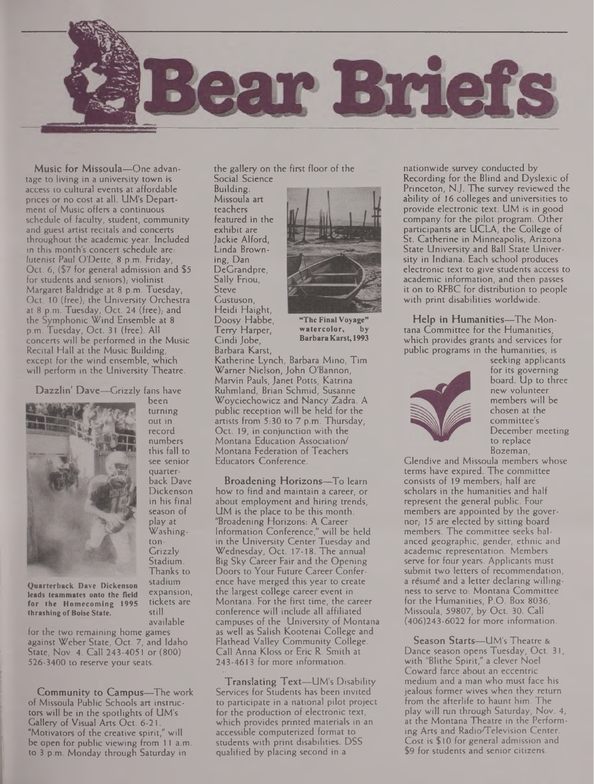

Music for Missoula—One advantage to living in a university town is access to cultural events at affordable prices or no cost at all. UM's Department of Music offers a continuous schedule of faculty, student, community and guest artist recitals and concerts throughout the academic year. Included in this month's concert schedule are: lutenist Paul O'Dette, 8 p.m. Friday, Oct. 6, (\$7 for general admission and \$5 for students and seniors); violinist Margaret Baldridge at 8 p.m. Tuesday, Oct. 10 (free), the University Orchestra at 8 p.m. Tuesday, Oct. 24 (free); and the Symphonic Wind Ensemble at 8 p.m. Tuesday, Oct. 31 (free). All concerts will be performed in the Music Recital Hall at the Music Building, except for the wind ensemble, which will perform in the University Theatre.

Dazzlin' Dave—Grizzly fans have



**Quarterback Dave Dickenson leads teammates onto the field for the Homecoming 1995 thrashing ofBoise State.**

for the two remaining home games against Weber State, Oct. 7, and Idaho State, Nov. 4. Call 243-4051 or (800) 526-3400 to reserve your seats.

Community to Campus—The work of Missoula Public Schools art instructors will be in the spotlights of UM's Gallery of Visual Arts Oct. 6-21. "Motivators of the creative spirit," will be open for public viewing from 11 a.m. to 3 p.m. Monday through Saturday in

the gallery on the first floor of the Social Science

Building. Missoula art teachers featured in the exhibit are Jackie Alford, Linda Browning, Dan DeGrandpre, Sally Friou, **Steve** Gustuson, Heidi Haight, Doosy Habbe, Terry Harper, Cindi Jobe, Barbara Karst,



**watercolor, by BarbaraKarst, 1993**

Katherine Lynch, Barbara Mino, Tim Warner Nielson, John O'Bannon, Marvin Pauls, Janet Potts, Katrina Ruhmland, Brian Schmid, Susanne Woyciechowicz and Nancy Zadra. A public reception will be held for the artists from 5:30 to 7 p.m. Thursday, Oct. 19, in conjunction with the Montana Education Association/ Montana Federation of Teachers Educators Conference.

Broadening Horizons—To learn how to find and maintain a career, or about employment and hiring trends, UM is the place to be this month. "Broadening Horizons: A Career Information Conference," will be held in the University Center Tuesday and Wednesday, Oct. 17-18. The annual Big Sky Career Fair and the Opening Doors to Your Future Career Conference have merged this year to create the largest college career event in Montana. For the first time, the career conference will include all affiliated campuses of the University of Montana as well as Salish Kootenai College and Flathead Valley Community College. Call Anna Kloss or Eric R. Smith at 243-4613 for more information.

Translating Text—UM's Disability Services for Students has been invited to participate in a national pilot project for the production of electronic text, which provides printed materials in an accessible computerized format to students with print disabilities. DSS qualified by placing second in a

nationwide survey conducted by Recording for the Blind and Dyslexic of Princeton, N.J. The survey reviewed the ability of 16 colleges and universities to provide electronic text. UM is in good company for the pilot program. Other participants are UCLA, the College of St. Catherine in Minneapolis, Arizona State University and Ball State University in Indiana. Each school produces electronic text to give students access to academic information, and then passes it on to RFBC for distribution to people with print disabilities worldwide.

Help in Humanities—The Montana Committee for the Humanities, which provides grants and services for public programs in the humanities, is



seeking applicants for its governing board. Up to three new volunteer members will be chosen at the committee's December meeting to replace Bozeman,

Glendive and Missoula members whose terms have expired. The committee consists of 19 members, half are scholars in the humanities and half represent the general public. Four members are appointed by the governor, 15 are elected by sitting board members. The committee seeks balanced geographic, gender, ethnic and academic representation. Members serve for four years. Applicants must submit two letters of recommendation, a resume and a letter declaring willingness to serve to: Montana Committee for the Humanities, P.O. Box 8036, Missoula, 59807, by Oct. 30. Call (406)243-6022 for more information.

Season Starts—UM's Theatre & Dance season opens Tuesday, Oct. 31, with "Blithe Spirit," a clever Noel Coward farce about an eccentric medium and a man who must face his jealous former wives when they return from the afterlife to haunt him. The play will run through Saturday, Nov. 4, at the Montana Theatre in the Performing Arts and Radio/Television Center. Cost is \$10 for general admission and \$9 for students and senior citizens.

season of play at Washington-Grizzly Stadium. Thanks to stadium expansion, tickets are still available

been turning out in record numbers this fall to see senior quarterback Dave Dickenson in his final